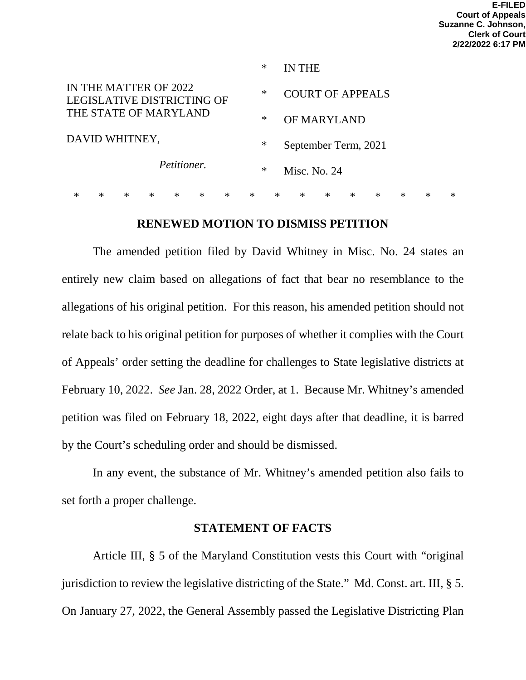|                                                            |        |        |        |        |        | $\ast$ |        | IN THE       |                         |        |        |        |        |        |        |
|------------------------------------------------------------|--------|--------|--------|--------|--------|--------|--------|--------------|-------------------------|--------|--------|--------|--------|--------|--------|
| IN THE MATTER OF 2022<br><b>LEGISLATIVE DISTRICTING OF</b> |        |        |        |        |        |        | ∗      |              | <b>COURT OF APPEALS</b> |        |        |        |        |        |        |
| THE STATE OF MARYLAND<br>DAVID WHITNEY,                    |        |        |        |        |        |        | ∗      |              | OF MARYLAND             |        |        |        |        |        |        |
|                                                            |        |        |        |        |        |        | ∗      |              | September Term, 2021    |        |        |        |        |        |        |
| Petitioner.                                                |        |        |        |        |        | $\ast$ |        | Misc. No. 24 |                         |        |        |        |        |        |        |
| *                                                          | $\ast$ | $\ast$ | $\ast$ | $\ast$ | $\ast$ | $\ast$ | $\ast$ | $\ast$       | $\ast$                  | $\ast$ | $\ast$ | $\ast$ | $\ast$ | $\ast$ | $\ast$ |

#### **RENEWED MOTION TO DISMISS PETITION**

The amended petition filed by David Whitney in Misc. No. 24 states an entirely new claim based on allegations of fact that bear no resemblance to the allegations of his original petition. For this reason, his amended petition should not relate back to his original petition for purposes of whether it complies with the Court of Appeals' order setting the deadline for challenges to State legislative districts at February 10, 2022. *See* Jan. 28, 2022 Order, at 1. Because Mr. Whitney's amended petition was filed on February 18, 2022, eight days after that deadline, it is barred by the Court's scheduling order and should be dismissed.

In any event, the substance of Mr. Whitney's amended petition also fails to set forth a proper challenge.

# **STATEMENT OF FACTS**

Article III, § 5 of the Maryland Constitution vests this Court with "original jurisdiction to review the legislative districting of the State." Md. Const. art. III, § 5. On January 27, 2022, the General Assembly passed the Legislative Districting Plan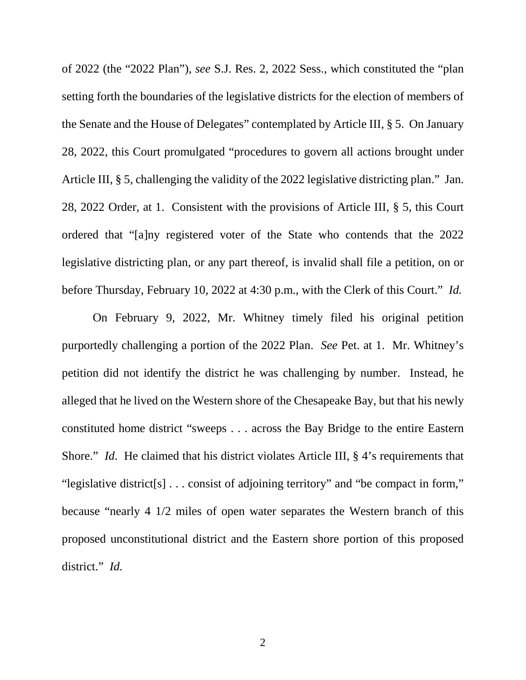of 2022 (the "2022 Plan"), *see* S.J. Res. 2, 2022 Sess., which constituted the "plan setting forth the boundaries of the legislative districts for the election of members of the Senate and the House of Delegates" contemplated by Article III, § 5. On January 28, 2022, this Court promulgated "procedures to govern all actions brought under Article III, § 5, challenging the validity of the 2022 legislative districting plan." Jan. 28, 2022 Order, at 1. Consistent with the provisions of Article III, § 5, this Court ordered that "[a]ny registered voter of the State who contends that the 2022 legislative districting plan, or any part thereof, is invalid shall file a petition, on or before Thursday, February 10, 2022 at 4:30 p.m., with the Clerk of this Court." *Id.*

On February 9, 2022, Mr. Whitney timely filed his original petition purportedly challenging a portion of the 2022 Plan. *See* Pet. at 1. Mr. Whitney's petition did not identify the district he was challenging by number. Instead, he alleged that he lived on the Western shore of the Chesapeake Bay, but that his newly constituted home district "sweeps . . . across the Bay Bridge to the entire Eastern Shore." *Id.* He claimed that his district violates Article III, § 4's requirements that "legislative district[s] . . . consist of adjoining territory" and "be compact in form," because "nearly 4 1/2 miles of open water separates the Western branch of this proposed unconstitutional district and the Eastern shore portion of this proposed district." *Id.*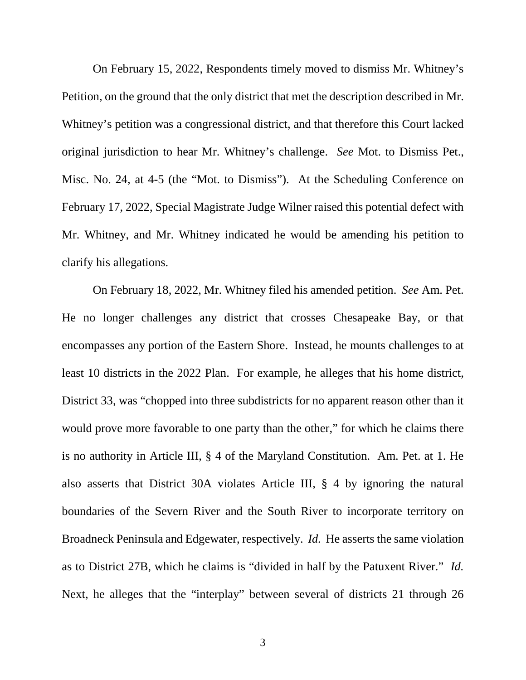On February 15, 2022, Respondents timely moved to dismiss Mr. Whitney's Petition, on the ground that the only district that met the description described in Mr. Whitney's petition was a congressional district, and that therefore this Court lacked original jurisdiction to hear Mr. Whitney's challenge. *See* Mot. to Dismiss Pet., Misc. No. 24, at 4-5 (the "Mot. to Dismiss"). At the Scheduling Conference on February 17, 2022, Special Magistrate Judge Wilner raised this potential defect with Mr. Whitney, and Mr. Whitney indicated he would be amending his petition to clarify his allegations.

On February 18, 2022, Mr. Whitney filed his amended petition. *See* Am. Pet. He no longer challenges any district that crosses Chesapeake Bay, or that encompasses any portion of the Eastern Shore. Instead, he mounts challenges to at least 10 districts in the 2022 Plan. For example, he alleges that his home district, District 33, was "chopped into three subdistricts for no apparent reason other than it would prove more favorable to one party than the other," for which he claims there is no authority in Article III, § 4 of the Maryland Constitution. Am. Pet. at 1. He also asserts that District 30A violates Article III, § 4 by ignoring the natural boundaries of the Severn River and the South River to incorporate territory on Broadneck Peninsula and Edgewater, respectively. *Id.* He asserts the same violation as to District 27B, which he claims is "divided in half by the Patuxent River." *Id.* Next, he alleges that the "interplay" between several of districts 21 through 26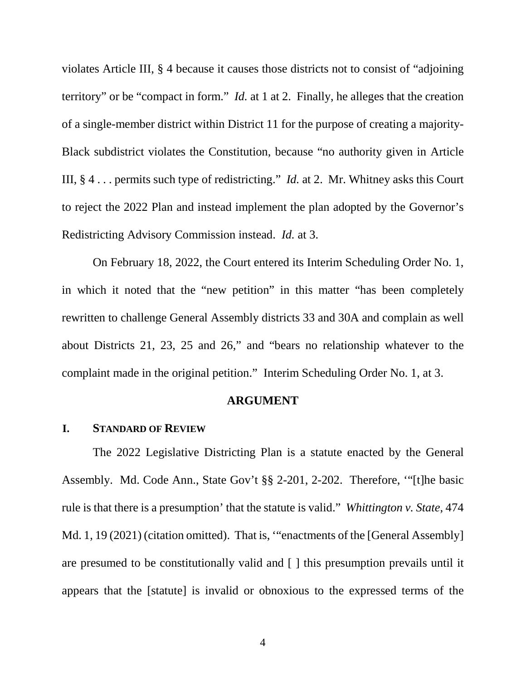violates Article III, § 4 because it causes those districts not to consist of "adjoining territory" or be "compact in form." *Id.* at 1 at 2. Finally, he alleges that the creation of a single-member district within District 11 for the purpose of creating a majority-Black subdistrict violates the Constitution, because "no authority given in Article III, § 4 . . . permits such type of redistricting." *Id.* at 2. Mr. Whitney asks this Court to reject the 2022 Plan and instead implement the plan adopted by the Governor's Redistricting Advisory Commission instead. *Id.* at 3.

On February 18, 2022, the Court entered its Interim Scheduling Order No. 1, in which it noted that the "new petition" in this matter "has been completely rewritten to challenge General Assembly districts 33 and 30A and complain as well about Districts 21, 23, 25 and 26," and "bears no relationship whatever to the complaint made in the original petition." Interim Scheduling Order No. 1, at 3.

#### **ARGUMENT**

#### **I. STANDARD OF REVIEW**

The 2022 Legislative Districting Plan is a statute enacted by the General Assembly. Md. Code Ann., State Gov't §§ 2-201, 2-202. Therefore, '"[t]he basic rule is that there is a presumption' that the statute is valid." *Whittington v. State*, 474 Md. 1, 19 (2021) (citation omitted). That is, "enactments of the [General Assembly] are presumed to be constitutionally valid and [ ] this presumption prevails until it appears that the [statute] is invalid or obnoxious to the expressed terms of the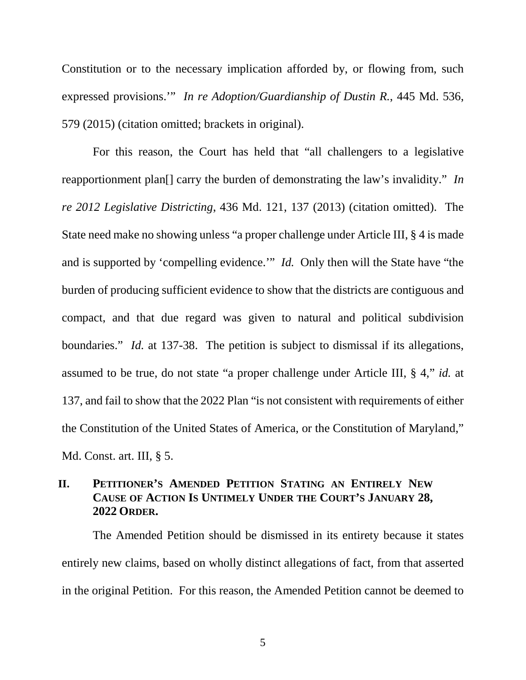Constitution or to the necessary implication afforded by, or flowing from, such expressed provisions.'" *In re Adoption/Guardianship of Dustin R.*, 445 Md. 536, 579 (2015) (citation omitted; brackets in original).

For this reason, the Court has held that "all challengers to a legislative reapportionment plan[] carry the burden of demonstrating the law's invalidity." *In re 2012 Legislative Districting*, 436 Md. 121, 137 (2013) (citation omitted). The State need make no showing unless "a proper challenge under Article III, § 4 is made and is supported by 'compelling evidence.'" *Id.* Only then will the State have "the burden of producing sufficient evidence to show that the districts are contiguous and compact, and that due regard was given to natural and political subdivision boundaries." *Id.* at 137-38. The petition is subject to dismissal if its allegations, assumed to be true, do not state "a proper challenge under Article III, § 4," *id.* at 137, and fail to show that the 2022 Plan "is not consistent with requirements of either the Constitution of the United States of America, or the Constitution of Maryland," Md. Const. art. III, § 5.

# **II. PETITIONER'S AMENDED PETITION STATING AN ENTIRELY NEW CAUSE OF ACTION IS UNTIMELY UNDER THE COURT'S JANUARY 28, 2022 ORDER.**

The Amended Petition should be dismissed in its entirety because it states entirely new claims, based on wholly distinct allegations of fact, from that asserted in the original Petition. For this reason, the Amended Petition cannot be deemed to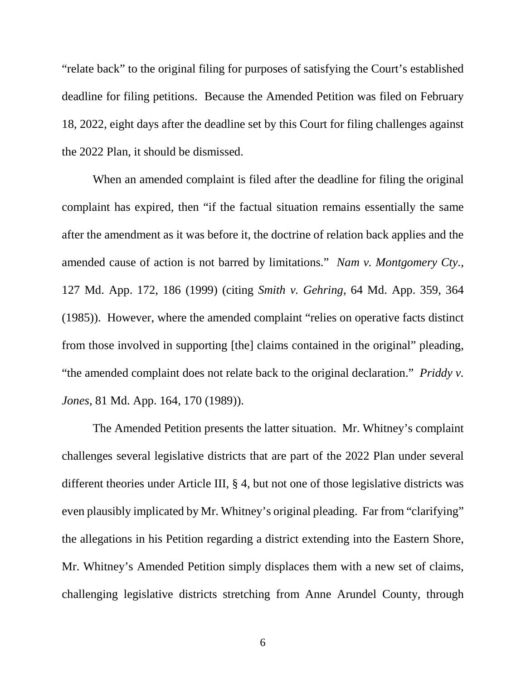"relate back" to the original filing for purposes of satisfying the Court's established deadline for filing petitions. Because the Amended Petition was filed on February 18, 2022, eight days after the deadline set by this Court for filing challenges against the 2022 Plan, it should be dismissed.

When an amended complaint is filed after the deadline for filing the original complaint has expired, then "if the factual situation remains essentially the same after the amendment as it was before it, the doctrine of relation back applies and the amended cause of action is not barred by limitations." *Nam v. Montgomery Cty.*, 127 Md. App. 172, 186 (1999) (citing *Smith v. Gehring*, 64 Md. App. 359, 364 (1985)). However, where the amended complaint "relies on operative facts distinct from those involved in supporting [the] claims contained in the original" pleading, "the amended complaint does not relate back to the original declaration." *Priddy v. Jones*, 81 Md. App. 164, 170 (1989)).

The Amended Petition presents the latter situation. Mr. Whitney's complaint challenges several legislative districts that are part of the 2022 Plan under several different theories under Article III, § 4, but not one of those legislative districts was even plausibly implicated by Mr. Whitney's original pleading. Far from "clarifying" the allegations in his Petition regarding a district extending into the Eastern Shore, Mr. Whitney's Amended Petition simply displaces them with a new set of claims, challenging legislative districts stretching from Anne Arundel County, through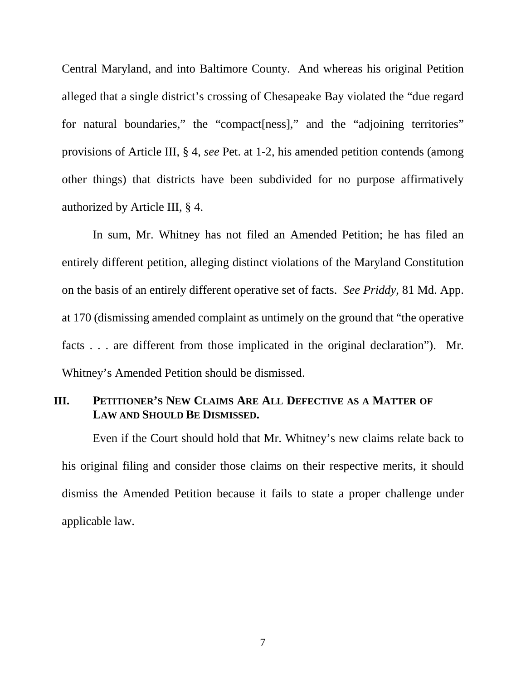Central Maryland, and into Baltimore County. And whereas his original Petition alleged that a single district's crossing of Chesapeake Bay violated the "due regard for natural boundaries," the "compact [ness]," and the "adjoining territories" provisions of Article III, § 4, *see* Pet. at 1-2, his amended petition contends (among other things) that districts have been subdivided for no purpose affirmatively authorized by Article III, § 4.

In sum, Mr. Whitney has not filed an Amended Petition; he has filed an entirely different petition, alleging distinct violations of the Maryland Constitution on the basis of an entirely different operative set of facts. *See Priddy*, 81 Md. App. at 170 (dismissing amended complaint as untimely on the ground that "the operative facts . . . are different from those implicated in the original declaration"). Mr. Whitney's Amended Petition should be dismissed.

#### **III. PETITIONER'S NEW CLAIMS ARE ALL DEFECTIVE AS A MATTER OF LAW AND SHOULD BE DISMISSED.**

Even if the Court should hold that Mr. Whitney's new claims relate back to his original filing and consider those claims on their respective merits, it should dismiss the Amended Petition because it fails to state a proper challenge under applicable law.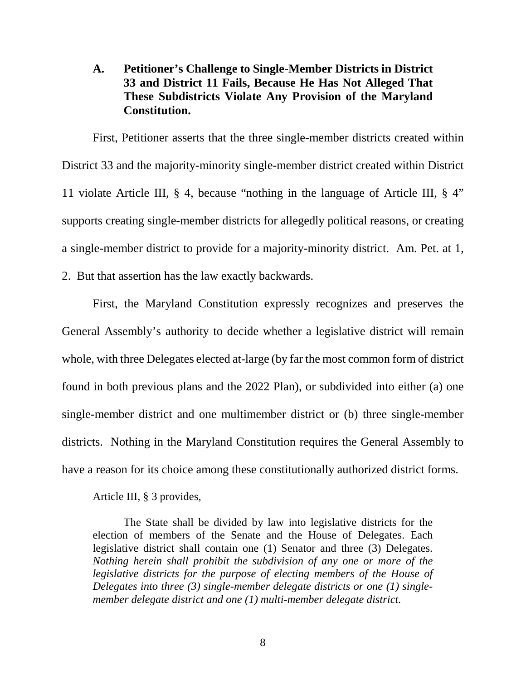# **A. Petitioner's Challenge to Single-Member Districts in District 33 and District 11 Fails, Because He Has Not Alleged That These Subdistricts Violate Any Provision of the Maryland Constitution.**

First, Petitioner asserts that the three single-member districts created within District 33 and the majority-minority single-member district created within District 11 violate Article III, § 4, because "nothing in the language of Article III, § 4" supports creating single-member districts for allegedly political reasons, or creating a single-member district to provide for a majority-minority district. Am. Pet. at 1, 2. But that assertion has the law exactly backwards.

First, the Maryland Constitution expressly recognizes and preserves the General Assembly's authority to decide whether a legislative district will remain whole, with three Delegates elected at-large (by far the most common form of district found in both previous plans and the 2022 Plan), or subdivided into either (a) one single-member district and one multimember district or (b) three single-member districts. Nothing in the Maryland Constitution requires the General Assembly to have a reason for its choice among these constitutionally authorized district forms.

Article III, § 3 provides,

The State shall be divided by law into legislative districts for the election of members of the Senate and the House of Delegates. Each legislative district shall contain one (1) Senator and three (3) Delegates. *Nothing herein shall prohibit the subdivision of any one or more of the legislative districts for the purpose of electing members of the House of Delegates into three (3) single-member delegate districts or one (1) singlemember delegate district and one (1) multi-member delegate district.*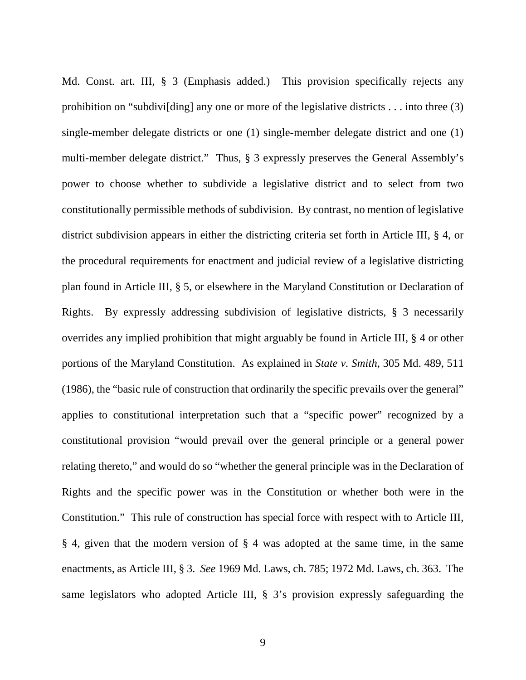Md. Const. art. III, § 3 (Emphasis added.) This provision specifically rejects any prohibition on "subdivi[ding] any one or more of the legislative districts . . . into three (3) single-member delegate districts or one (1) single-member delegate district and one (1) multi-member delegate district." Thus, § 3 expressly preserves the General Assembly's power to choose whether to subdivide a legislative district and to select from two constitutionally permissible methods of subdivision. By contrast, no mention of legislative district subdivision appears in either the districting criteria set forth in Article III, § 4, or the procedural requirements for enactment and judicial review of a legislative districting plan found in Article III, § 5, or elsewhere in the Maryland Constitution or Declaration of Rights. By expressly addressing subdivision of legislative districts, § 3 necessarily overrides any implied prohibition that might arguably be found in Article III, § 4 or other portions of the Maryland Constitution. As explained in *State v. Smith*, 305 Md. 489, 511 (1986), the "basic rule of construction that ordinarily the specific prevails over the general" applies to constitutional interpretation such that a "specific power" recognized by a constitutional provision "would prevail over the general principle or a general power relating thereto," and would do so "whether the general principle was in the Declaration of Rights and the specific power was in the Constitution or whether both were in the Constitution." This rule of construction has special force with respect with to Article III, § 4, given that the modern version of § 4 was adopted at the same time, in the same enactments, as Article III, § 3. *See* 1969 Md. Laws, ch. 785; 1972 Md. Laws, ch. 363. The same legislators who adopted Article III, § 3's provision expressly safeguarding the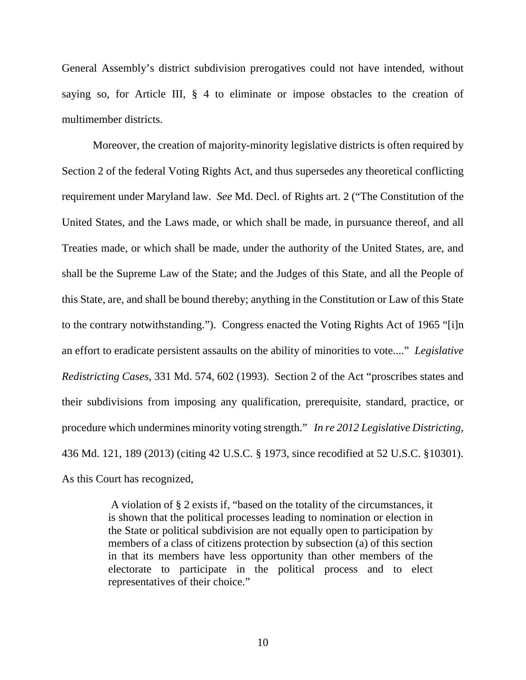General Assembly's district subdivision prerogatives could not have intended, without saying so, for Article III, § 4 to eliminate or impose obstacles to the creation of multimember districts.

Moreover, the creation of majority-minority legislative districts is often required by Section 2 of the federal Voting Rights Act, and thus supersedes any theoretical conflicting requirement under Maryland law. *See* Md. Decl. of Rights art. 2 ("The Constitution of the United States, and the Laws made, or which shall be made, in pursuance thereof, and all Treaties made, or which shall be made, under the authority of the United States, are, and shall be the Supreme Law of the State; and the Judges of this State, and all the People of this State, are, and shall be bound thereby; anything in the Constitution or Law of this State to the contrary notwithstanding."). Congress enacted the Voting Rights Act of 1965 "[i]n an effort to eradicate persistent assaults on the ability of minorities to vote...." *Legislative Redistricting Cases*, 331 Md. 574, 602 (1993). Section 2 of the Act "proscribes states and their subdivisions from imposing any qualification, prerequisite, standard, practice, or procedure which undermines minority voting strength." *In re 2012 Legislative Districting*, 436 Md. 121, 189 (2013) (citing 42 U.S.C. § 1973, since recodified at 52 U.S.C. §10301). As this Court has recognized,

> A violation of § 2 exists if, "based on the totality of the circumstances, it is shown that the political processes leading to nomination or election in the State or political subdivision are not equally open to participation by members of a class of citizens protection by subsection (a) of this section in that its members have less opportunity than other members of the electorate to participate in the political process and to elect representatives of their choice."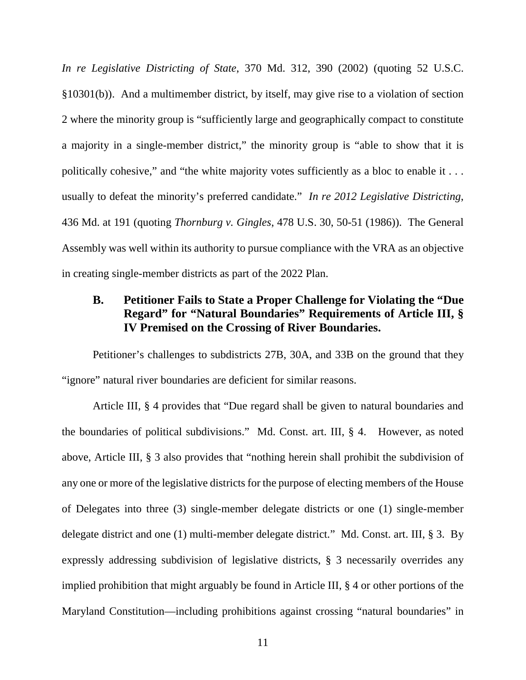*In re Legislative Districting of State*, 370 Md. 312, 390 (2002) (quoting 52 U.S.C. §10301(b)). And a multimember district, by itself, may give rise to a violation of section 2 where the minority group is "sufficiently large and geographically compact to constitute a majority in a single-member district," the minority group is "able to show that it is politically cohesive," and "the white majority votes sufficiently as a bloc to enable it . . . usually to defeat the minority's preferred candidate." *In re 2012 Legislative Districting*, 436 Md. at 191 (quoting *Thornburg v. Gingles*, 478 U.S. 30, 50-51 (1986)). The General Assembly was well within its authority to pursue compliance with the VRA as an objective in creating single-member districts as part of the 2022 Plan.

# **B. Petitioner Fails to State a Proper Challenge for Violating the "Due Regard" for "Natural Boundaries" Requirements of Article III, § IV Premised on the Crossing of River Boundaries.**

Petitioner's challenges to subdistricts 27B, 30A, and 33B on the ground that they "ignore" natural river boundaries are deficient for similar reasons.

Article III, § 4 provides that "Due regard shall be given to natural boundaries and the boundaries of political subdivisions." Md. Const. art. III, § 4. However, as noted above, Article III, § 3 also provides that "nothing herein shall prohibit the subdivision of any one or more of the legislative districts for the purpose of electing members of the House of Delegates into three (3) single-member delegate districts or one (1) single-member delegate district and one (1) multi-member delegate district." Md. Const. art. III, § 3. By expressly addressing subdivision of legislative districts, § 3 necessarily overrides any implied prohibition that might arguably be found in Article III, § 4 or other portions of the Maryland Constitution—including prohibitions against crossing "natural boundaries" in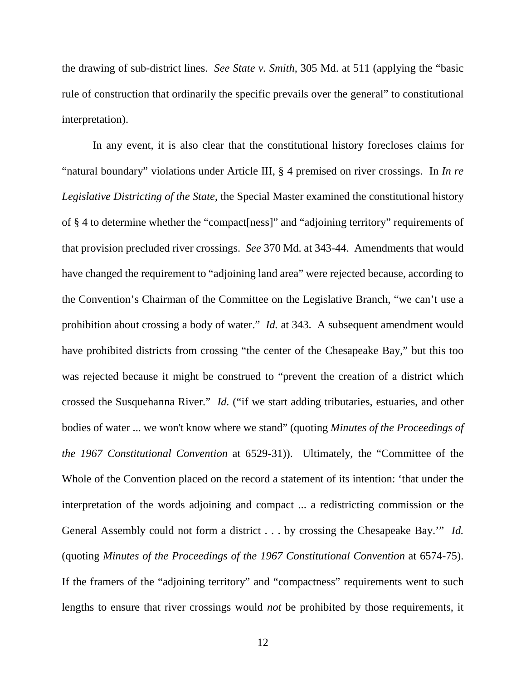the drawing of sub-district lines. *See State v. Smith*, 305 Md. at 511 (applying the "basic rule of construction that ordinarily the specific prevails over the general" to constitutional interpretation).

In any event, it is also clear that the constitutional history forecloses claims for "natural boundary" violations under Article III, § 4 premised on river crossings. In *In re Legislative Districting of the State*, the Special Master examined the constitutional history of § 4 to determine whether the "compact[ness]" and "adjoining territory" requirements of that provision precluded river crossings. *See* 370 Md. at 343-44. Amendments that would have changed the requirement to "adjoining land area" were rejected because, according to the Convention's Chairman of the Committee on the Legislative Branch, "we can't use a prohibition about crossing a body of water." *Id.* at 343. A subsequent amendment would have prohibited districts from crossing "the center of the Chesapeake Bay," but this too was rejected because it might be construed to "prevent the creation of a district which crossed the Susquehanna River." *Id.* ("if we start adding tributaries, estuaries, and other bodies of water ... we won't know where we stand" (quoting *Minutes of the Proceedings of the 1967 Constitutional Convention* at 6529-31)). Ultimately, the "Committee of the Whole of the Convention placed on the record a statement of its intention: 'that under the interpretation of the words adjoining and compact ... a redistricting commission or the General Assembly could not form a district . . . by crossing the Chesapeake Bay.'" *Id.* (quoting *Minutes of the Proceedings of the 1967 Constitutional Convention* at 6574-75). If the framers of the "adjoining territory" and "compactness" requirements went to such lengths to ensure that river crossings would *not* be prohibited by those requirements, it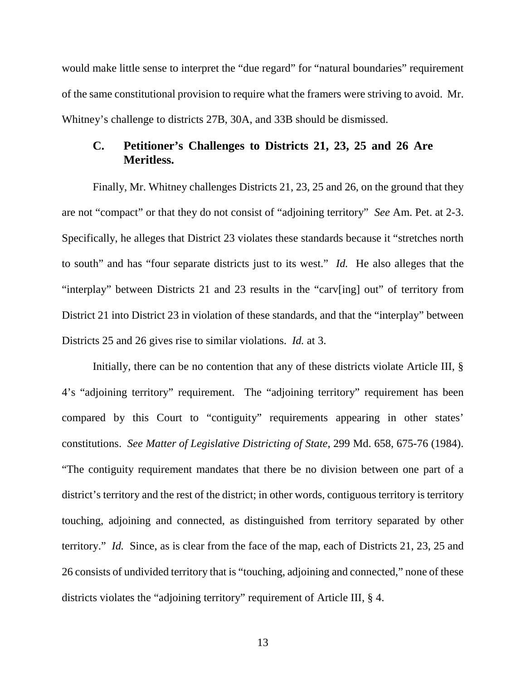would make little sense to interpret the "due regard" for "natural boundaries" requirement of the same constitutional provision to require what the framers were striving to avoid. Mr. Whitney's challenge to districts 27B, 30A, and 33B should be dismissed.

#### **C. Petitioner's Challenges to Districts 21, 23, 25 and 26 Are Meritless.**

Finally, Mr. Whitney challenges Districts 21, 23, 25 and 26, on the ground that they are not "compact" or that they do not consist of "adjoining territory" *See* Am. Pet. at 2-3. Specifically, he alleges that District 23 violates these standards because it "stretches north to south" and has "four separate districts just to its west." *Id.* He also alleges that the "interplay" between Districts 21 and 23 results in the "carv[ing] out" of territory from District 21 into District 23 in violation of these standards, and that the "interplay" between Districts 25 and 26 gives rise to similar violations. *Id.* at 3.

Initially, there can be no contention that any of these districts violate Article III, § 4's "adjoining territory" requirement. The "adjoining territory" requirement has been compared by this Court to "contiguity" requirements appearing in other states' constitutions. *See Matter of Legislative Districting of State*, 299 Md. 658, 675-76 (1984). "The contiguity requirement mandates that there be no division between one part of a district's territory and the rest of the district; in other words, contiguous territory is territory touching, adjoining and connected, as distinguished from territory separated by other territory." *Id.* Since, as is clear from the face of the map, each of Districts 21, 23, 25 and 26 consists of undivided territory that is "touching, adjoining and connected," none of these districts violates the "adjoining territory" requirement of Article III, § 4.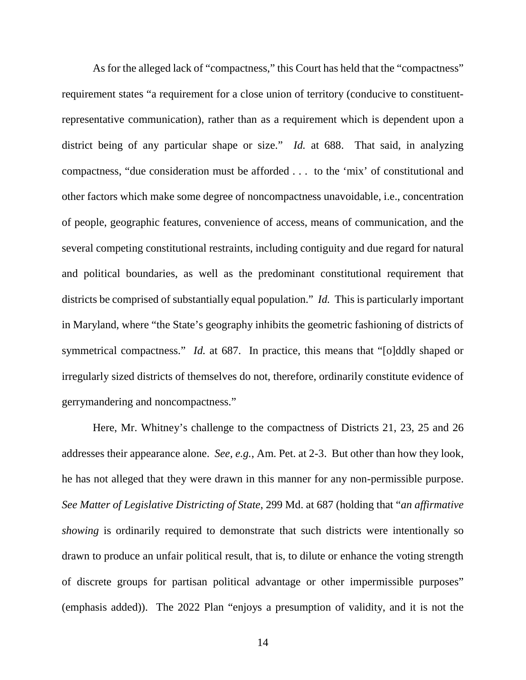As for the alleged lack of "compactness," this Court has held that the "compactness" requirement states "a requirement for a close union of territory (conducive to constituentrepresentative communication), rather than as a requirement which is dependent upon a district being of any particular shape or size." *Id.* at 688. That said, in analyzing compactness, "due consideration must be afforded . . . to the 'mix' of constitutional and other factors which make some degree of noncompactness unavoidable, i.e., concentration of people, geographic features, convenience of access, means of communication, and the several competing constitutional restraints, including contiguity and due regard for natural and political boundaries, as well as the predominant constitutional requirement that districts be comprised of substantially equal population." *Id.* This is particularly important in Maryland, where "the State's geography inhibits the geometric fashioning of districts of symmetrical compactness." *Id.* at 687. In practice, this means that "[o]ddly shaped or irregularly sized districts of themselves do not, therefore, ordinarily constitute evidence of gerrymandering and noncompactness."

Here, Mr. Whitney's challenge to the compactness of Districts 21, 23, 25 and 26 addresses their appearance alone. *See, e.g.*, Am. Pet. at 2-3. But other than how they look, he has not alleged that they were drawn in this manner for any non-permissible purpose. *See Matter of Legislative Districting of State*, 299 Md. at 687 (holding that "*an affirmative showing* is ordinarily required to demonstrate that such districts were intentionally so drawn to produce an unfair political result, that is, to dilute or enhance the voting strength of discrete groups for partisan political advantage or other impermissible purposes" (emphasis added)). The 2022 Plan "enjoys a presumption of validity, and it is not the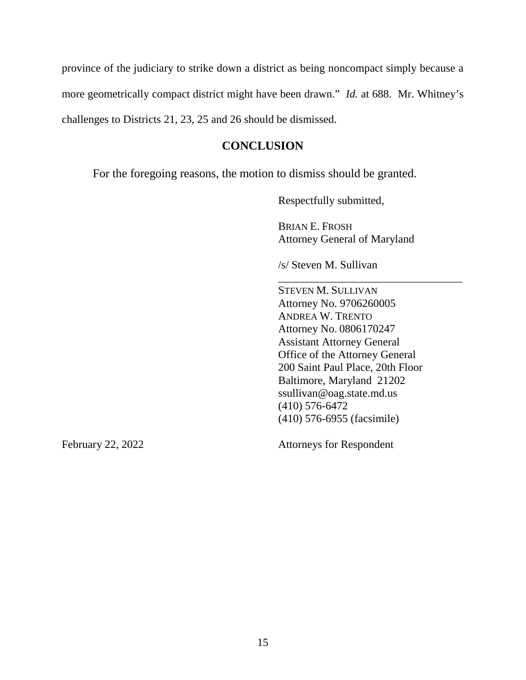province of the judiciary to strike down a district as being noncompact simply because a more geometrically compact district might have been drawn." *Id.* at 688. Mr. Whitney's challenges to Districts 21, 23, 25 and 26 should be dismissed.

# **CONCLUSION**

For the foregoing reasons, the motion to dismiss should be granted.

Respectfully submitted,

BRIAN E. FROSH Attorney General of Maryland

\_\_\_\_\_\_\_\_\_\_\_\_\_\_\_\_\_\_\_\_\_\_\_\_\_\_\_\_\_\_\_\_\_

/s/ Steven M. Sullivan

STEVEN M. SULLIVAN Attorney No. 9706260005 ANDREA W. TRENTO Attorney No. 0806170247 Assistant Attorney General Office of the Attorney General 200 Saint Paul Place, 20th Floor Baltimore, Maryland 21202 ssullivan@oag.state.md.us (410) 576-6472 (410) 576-6955 (facsimile)

February 22, 2022 Attorneys for Respondent